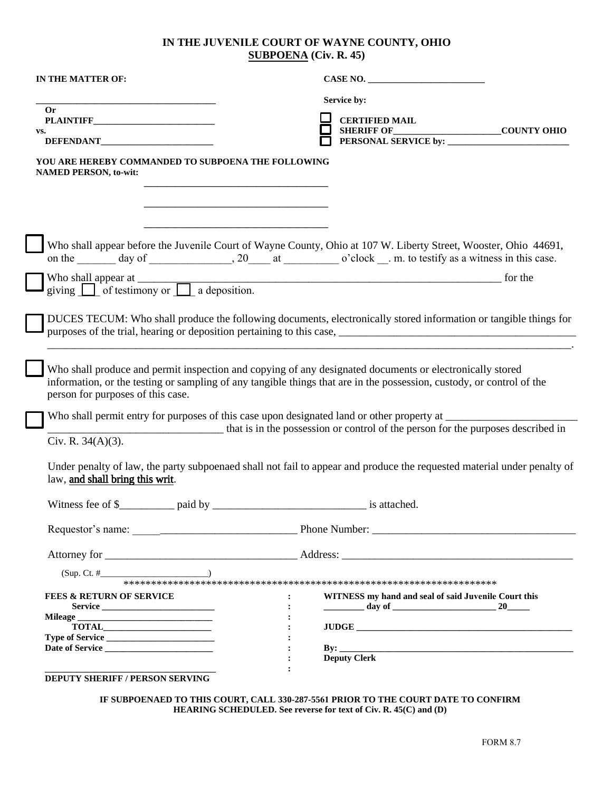## **IN THE JUVENILE COURT OF WAYNE COUNTY, OHIO SUBPOENA (Civ. R. 45)**

| Service by:<br><b>Or</b><br><b>CERTIFIED MAIL</b><br>VS.<br>YOU ARE HEREBY COMMANDED TO SUBPOENA THE FOLLOWING<br><b>NAMED PERSON, to-wit:</b><br>Who shall appear before the Juvenile Court of Wayne County, Ohio at 107 W. Liberty Street, Wooster, Ohio 44691,<br>DUCES TECUM: Who shall produce the following documents, electronically stored information or tangible things for<br>Who shall produce and permit inspection and copying of any designated documents or electronically stored<br>information, or the testing or sampling of any tangible things that are in the possession, custody, or control of the<br>person for purposes of this case.<br>that is in the possession or control of the person for the purposes described in<br>Civ. R. $34(A)(3)$ .<br>Under penalty of law, the party subpoenaed shall not fail to appear and produce the requested material under penalty of<br>law, and shall bring this writ.<br>$(Sup. Ct. #$ (1)<br><b>FEES &amp; RETURN OF SERVICE</b><br>WITNESS my hand and seal of said Juvenile Court this<br>$\ddot{\cdot}$<br>Service<br><b>Deputy Clerk</b><br><b>DEPUTY SHERIFF / PERSON SERVING</b> | IN THE MATTER OF: | CASE NO. |
|-------------------------------------------------------------------------------------------------------------------------------------------------------------------------------------------------------------------------------------------------------------------------------------------------------------------------------------------------------------------------------------------------------------------------------------------------------------------------------------------------------------------------------------------------------------------------------------------------------------------------------------------------------------------------------------------------------------------------------------------------------------------------------------------------------------------------------------------------------------------------------------------------------------------------------------------------------------------------------------------------------------------------------------------------------------------------------------------------------------------------------------------------------------|-------------------|----------|
|                                                                                                                                                                                                                                                                                                                                                                                                                                                                                                                                                                                                                                                                                                                                                                                                                                                                                                                                                                                                                                                                                                                                                             |                   |          |
|                                                                                                                                                                                                                                                                                                                                                                                                                                                                                                                                                                                                                                                                                                                                                                                                                                                                                                                                                                                                                                                                                                                                                             |                   |          |
|                                                                                                                                                                                                                                                                                                                                                                                                                                                                                                                                                                                                                                                                                                                                                                                                                                                                                                                                                                                                                                                                                                                                                             |                   |          |
|                                                                                                                                                                                                                                                                                                                                                                                                                                                                                                                                                                                                                                                                                                                                                                                                                                                                                                                                                                                                                                                                                                                                                             |                   |          |
|                                                                                                                                                                                                                                                                                                                                                                                                                                                                                                                                                                                                                                                                                                                                                                                                                                                                                                                                                                                                                                                                                                                                                             |                   |          |
|                                                                                                                                                                                                                                                                                                                                                                                                                                                                                                                                                                                                                                                                                                                                                                                                                                                                                                                                                                                                                                                                                                                                                             |                   |          |
|                                                                                                                                                                                                                                                                                                                                                                                                                                                                                                                                                                                                                                                                                                                                                                                                                                                                                                                                                                                                                                                                                                                                                             |                   |          |
|                                                                                                                                                                                                                                                                                                                                                                                                                                                                                                                                                                                                                                                                                                                                                                                                                                                                                                                                                                                                                                                                                                                                                             |                   |          |
|                                                                                                                                                                                                                                                                                                                                                                                                                                                                                                                                                                                                                                                                                                                                                                                                                                                                                                                                                                                                                                                                                                                                                             |                   |          |
|                                                                                                                                                                                                                                                                                                                                                                                                                                                                                                                                                                                                                                                                                                                                                                                                                                                                                                                                                                                                                                                                                                                                                             |                   |          |
|                                                                                                                                                                                                                                                                                                                                                                                                                                                                                                                                                                                                                                                                                                                                                                                                                                                                                                                                                                                                                                                                                                                                                             |                   |          |
|                                                                                                                                                                                                                                                                                                                                                                                                                                                                                                                                                                                                                                                                                                                                                                                                                                                                                                                                                                                                                                                                                                                                                             |                   |          |
|                                                                                                                                                                                                                                                                                                                                                                                                                                                                                                                                                                                                                                                                                                                                                                                                                                                                                                                                                                                                                                                                                                                                                             |                   |          |
|                                                                                                                                                                                                                                                                                                                                                                                                                                                                                                                                                                                                                                                                                                                                                                                                                                                                                                                                                                                                                                                                                                                                                             |                   |          |
|                                                                                                                                                                                                                                                                                                                                                                                                                                                                                                                                                                                                                                                                                                                                                                                                                                                                                                                                                                                                                                                                                                                                                             |                   |          |
|                                                                                                                                                                                                                                                                                                                                                                                                                                                                                                                                                                                                                                                                                                                                                                                                                                                                                                                                                                                                                                                                                                                                                             |                   |          |
|                                                                                                                                                                                                                                                                                                                                                                                                                                                                                                                                                                                                                                                                                                                                                                                                                                                                                                                                                                                                                                                                                                                                                             |                   |          |
|                                                                                                                                                                                                                                                                                                                                                                                                                                                                                                                                                                                                                                                                                                                                                                                                                                                                                                                                                                                                                                                                                                                                                             |                   |          |

**IF SUBPOENAED TO THIS COURT, CALL 330-287-5561 PRIOR TO THE COURT DATE TO CONFIRM HEARING SCHEDULED. See reverse for text of Civ. R. 45(C) and (D)**